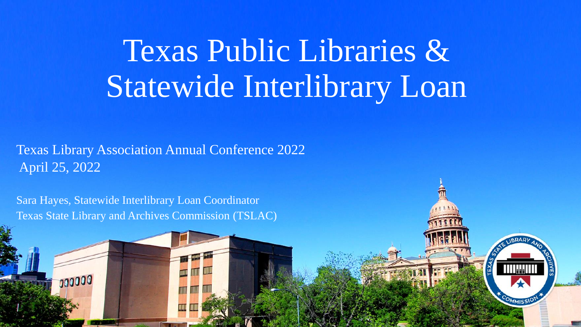Texas Public Libraries & Statewide Interlibrary Loan

#### Texas Library Association Annual Conference 2022 April 25, 2022

Sara Hayes, Statewide Interlibrary Loan Coordinator Texas State Library and Archives Commission (TSLAC)

00000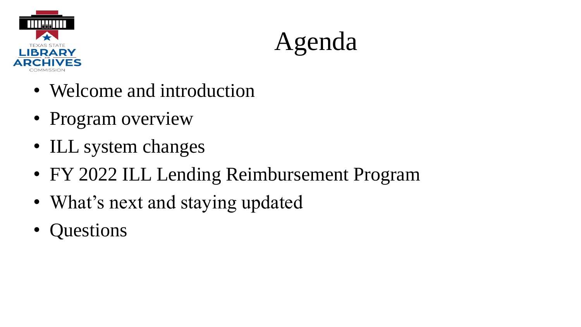

Agenda

- Welcome and introduction
- Program overview
- ILL system changes
- FY 2022 ILL Lending Reimbursement Program
- What's next and staying updated
- Questions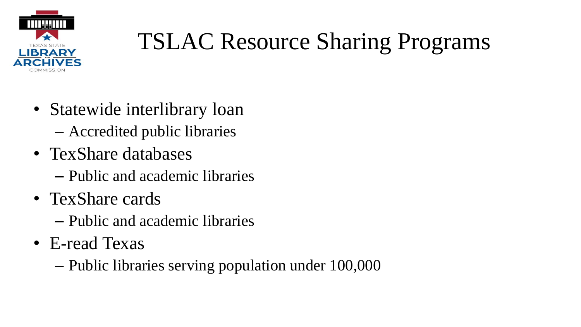

### TSLAC Resource Sharing Programs

- Statewide interlibrary loan – Accredited public libraries
- TexShare databases
	- Public and academic libraries
- TexShare cards
	- Public and academic libraries
- E-read Texas
	- Public libraries serving population under 100,000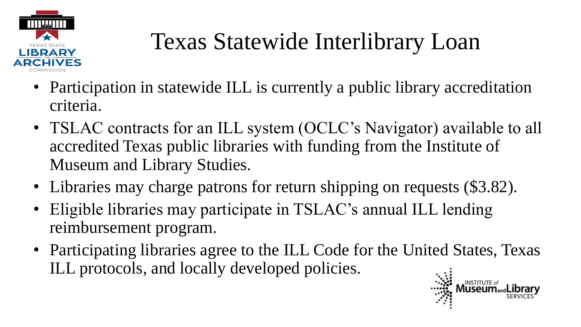

## Texas Statewide Interlibrary Loan

- Participation in statewide ILL is currently a public library accreditation criteria.
- TSLAC contracts for an ILL system (OCLC's Navigator) available to all accredited Texas public libraries with funding from the Institute of Museum and Library Studies.
- Libraries may charge patrons for return shipping on requests (\$3.82).
- Eligible libraries may participate in TSLAC's annual ILL lending reimbursement program.
- Participating libraries agree to the ILL Code for the United States, Texas ILL protocols, and locally developed policies.

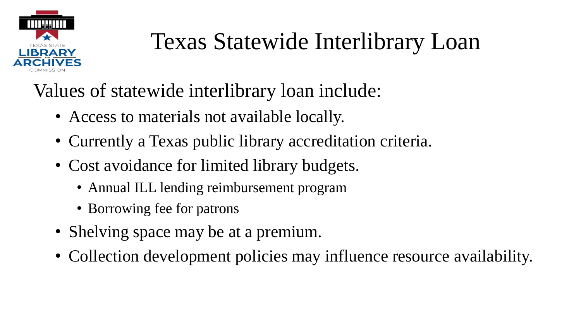

### Texas Statewide Interlibrary Loan

Values of statewide interlibrary loan include:

- Access to materials not available locally.
- Currently a Texas public library accreditation criteria.
- Cost avoidance for limited library budgets.
	- Annual ILL lending reimbursement program
	- Borrowing fee for patrons
- Shelving space may be at a premium.
- Collection development policies may influence resource availability.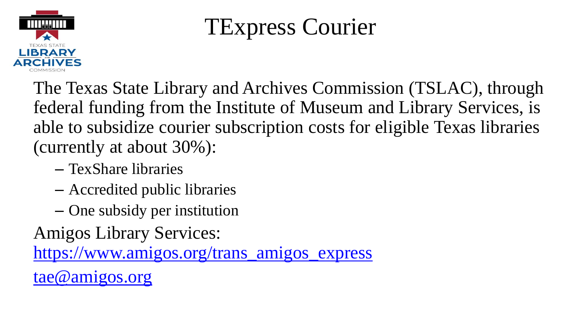

### TExpress Courier

The Texas State Library and Archives Commission (TSLAC), through federal funding from the Institute of Museum and Library Services, is able to subsidize courier subscription costs for eligible Texas libraries (currently at about 30%):

- TexShare libraries
- Accredited public libraries
- One subsidy per institution

Amigos Library Services:

[https://www.amigos.org/trans\\_amigos\\_express](https://www.amigos.org/trans_amigos_express)

[tae@amigos.org](mailto:tae@amigos.org)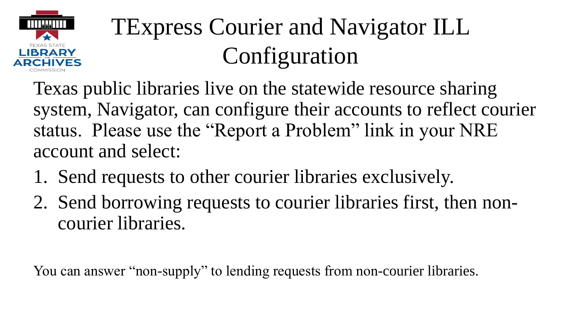

## TExpress Courier and Navigator ILL Configuration

Texas public libraries live on the statewide resource sharing system, Navigator, can configure their accounts to reflect courier status. Please use the "Report a Problem" link in your NRE account and select:

- 1. Send requests to other courier libraries exclusively.
- 2. Send borrowing requests to courier libraries first, then noncourier libraries.

You can answer "non-supply" to lending requests from non-courier libraries.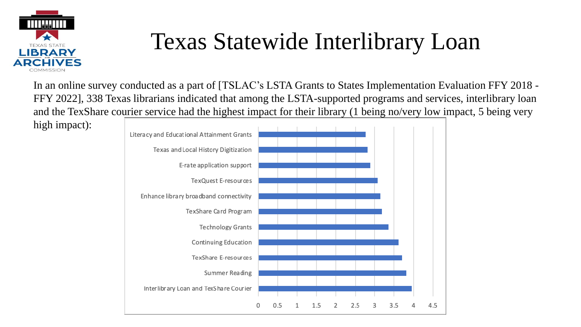

### Texas Statewide Interlibrary Loan

In an online survey conducted as a part of [TSLAC's LSTA Grants to States Implementation Evaluation FFY 2018 - FFY 2022], 338 Texas librarians indicated that among the LSTA-supported programs and services, interlibrary loan and the TexShare courier service had the highest impact for their library (1 being no/very low impact, 5 being very high impact):

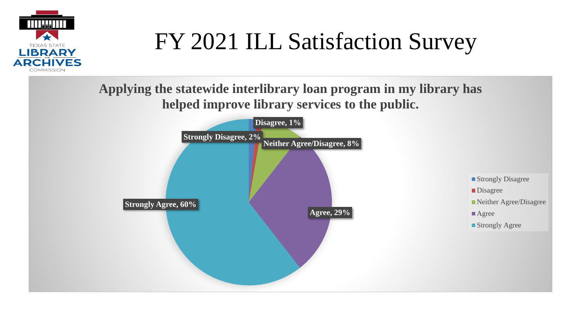

**Applying the statewide interlibrary loan program in my library has helped improve library services to the public.**

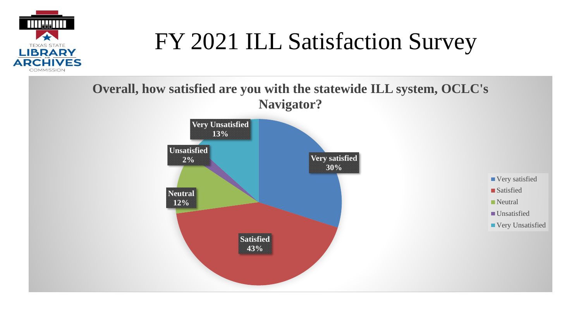

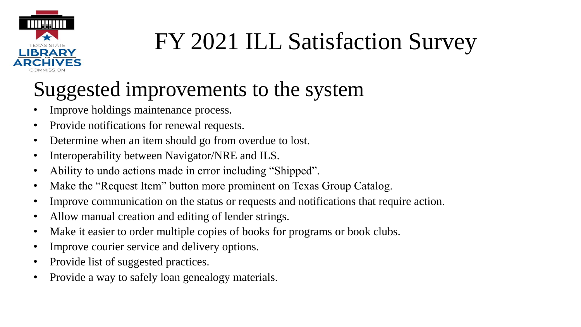

### Suggested improvements to the system

- Improve holdings maintenance process.
- Provide notifications for renewal requests.
- Determine when an item should go from overdue to lost.
- Interoperability between Navigator/NRE and ILS.
- Ability to undo actions made in error including "Shipped".
- Make the "Request Item" button more prominent on Texas Group Catalog.
- Improve communication on the status or requests and notifications that require action.
- Allow manual creation and editing of lender strings.
- Make it easier to order multiple copies of books for programs or book clubs.
- Improve courier service and delivery options.
- Provide list of suggested practices.
- Provide a way to safely loan genealogy materials.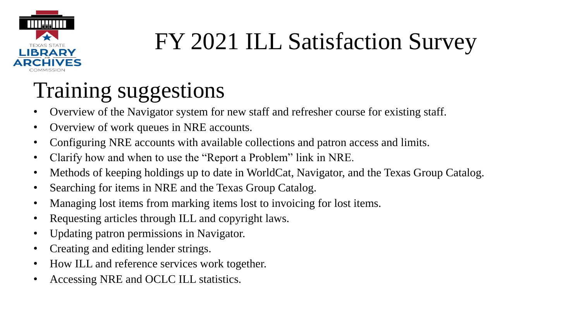

### Training suggestions

- Overview of the Navigator system for new staff and refresher course for existing staff.
- Overview of work queues in NRE accounts.
- Configuring NRE accounts with available collections and patron access and limits.
- Clarify how and when to use the "Report a Problem" link in NRE.
- Methods of keeping holdings up to date in WorldCat, Navigator, and the Texas Group Catalog.
- Searching for items in NRE and the Texas Group Catalog.
- Managing lost items from marking items lost to invoicing for lost items.
- Requesting articles through ILL and copyright laws.
- Updating patron permissions in Navigator.
- Creating and editing lender strings.
- How ILL and reference services work together.
- Accessing NRE and OCLC ILL statistics.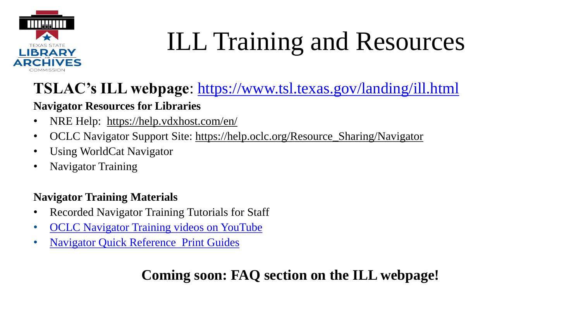

# ILL Training and Resources

### **TSLAC's ILL webpage**: <https://www.tsl.texas.gov/landing/ill.html>

#### **Navigator Resources for Libraries**

- NRE Help: <https://help.vdxhost.com/en/>
- OCLC Navigator Support Site: [https://help.oclc.org/Resource\\_Sharing/Navigator](https://help.oclc.org/Resource_Sharing/Navigator)
- Using WorldCat Navigator
- Navigator Training

#### **Navigator Training Materials**

- Recorded Navigator Training Tutorials for Staff
- [OCLC Navigator Training videos on YouTube](https://www.youtube.com/playlist?list=PLkN3y9CSC9DzcYGK-nQf_1LzQwc7j6Fu8)
- [Navigator Quick Reference](https://www.oclc.org/support/services/navigator/documentation/using.en.html) Print Guides

### **Coming soon: FAQ section on the ILL webpage!**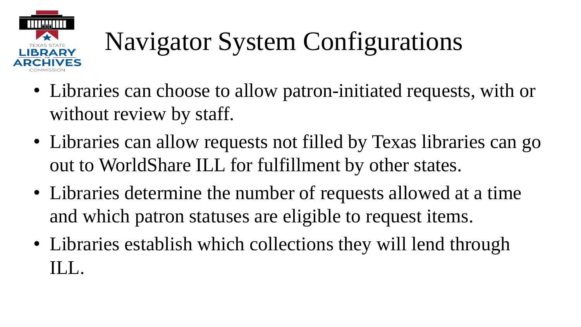

# Navigator System Configurations

- Libraries can choose to allow patron-initiated requests, with or without review by staff.
- Libraries can allow requests not filled by Texas libraries can go out to WorldShare ILL for fulfillment by other states.
- Libraries determine the number of requests allowed at a time and which patron statuses are eligible to request items.
- Libraries establish which collections they will lend through  $\prod$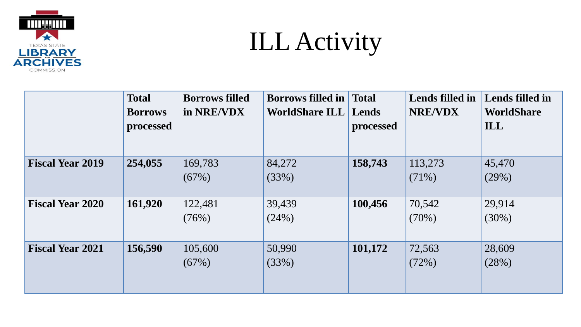

## ILL Activity

|                         | <b>Total</b><br><b>Borrows</b><br>processed | <b>Borrows filled</b><br>in NRE/VDX | <b>Borrows filled in</b><br><b>WorldShare ILL</b> | <b>Total</b><br>Lends<br>processed | Lends filled in<br><b>NRE/VDX</b> | Lends filled in<br><b>WorldShare</b><br>ILL |
|-------------------------|---------------------------------------------|-------------------------------------|---------------------------------------------------|------------------------------------|-----------------------------------|---------------------------------------------|
| <b>Fiscal Year 2019</b> | 254,055                                     | 169,783<br>(67%)                    | 84,272<br>(33%)                                   | 158,743                            | 113,273<br>$(71\%)$               | 45,470<br>(29%)                             |
| <b>Fiscal Year 2020</b> | 161,920                                     | 122,481<br>(76%)                    | 39,439<br>(24%)                                   | 100,456                            | 70,542<br>$(70\%)$                | 29,914<br>$(30\%)$                          |
| <b>Fiscal Year 2021</b> | 156,590                                     | 105,600<br>(67%)                    | 50,990<br>(33%)                                   | 101,172                            | 72,563<br>(72%)                   | 28,609<br>(28%)                             |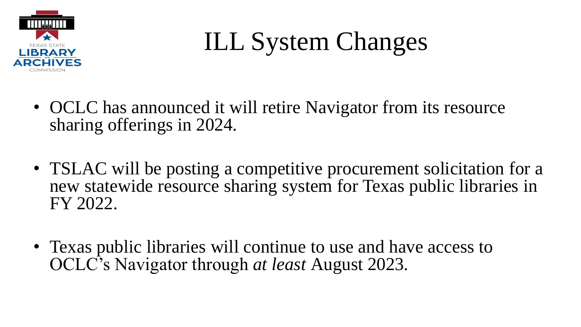

- OCLC has announced it will retire Navigator from its resource sharing offerings in 2024.
- TSLAC will be posting a competitive procurement solicitation for a new statewide resource sharing system for Texas public libraries in FY 2022.
- Texas public libraries will continue to use and have access to OCLC's Navigator through *at least* August 2023.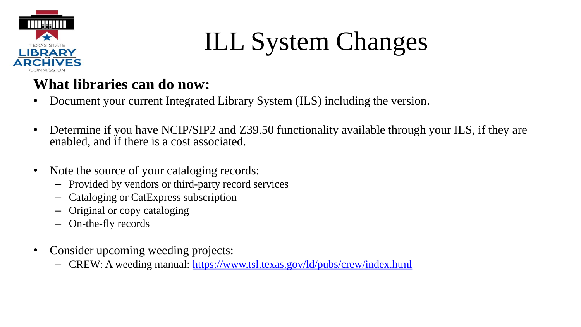

### **What libraries can do now:**

- Document your current Integrated Library System (ILS) including the version.
- Determine if you have NCIP/SIP2 and Z39.50 functionality available through your ILS, if they are enabled, and if there is a cost associated.
- Note the source of your cataloging records:
	- Provided by vendors or third-party record services
	- Cataloging or CatExpress subscription
	- Original or copy cataloging
	- On-the-fly records
- Consider upcoming weeding projects:
	- CREW: A weeding manual:<https://www.tsl.texas.gov/ld/pubs/crew/index.html>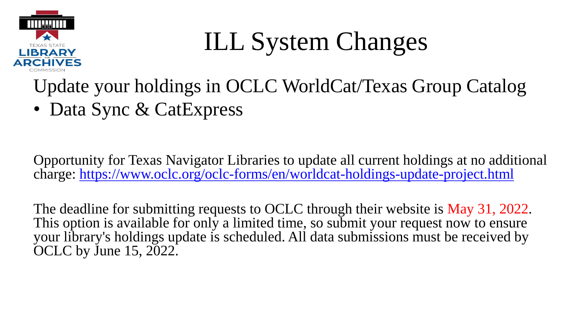

Update your holdings in OCLC WorldCat/Texas Group Catalog

• Data Sync & CatExpress

Opportunity for Texas Navigator Libraries to update all current holdings at no additional charge:<https://www.oclc.org/oclc-forms/en/worldcat-holdings-update-project.html>

The deadline for submitting requests to OCLC through their website is May 31, 2022. This option is available for only a limited time, so submit your request now to ensure your library's holdings update is scheduled. All data submissions must be received by OCLC by June 15, 2022.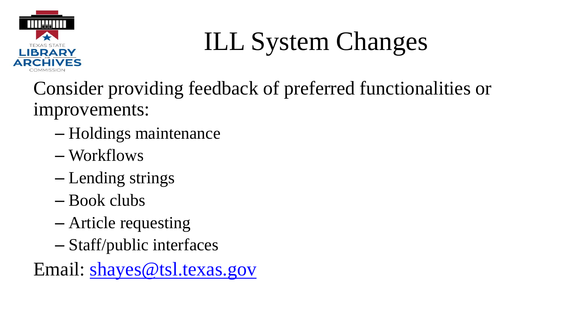

Consider providing feedback of preferred functionalities or improvements:

- Holdings maintenance
- Workflows
- Lending strings
- Book clubs
- Article requesting
- Staff/public interfaces

Email: [shayes@tsl.texas.gov](mailto:shayes@tsl.texas.gov)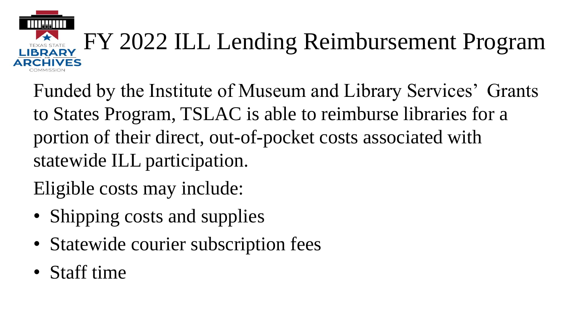# FY 2022 ILL Lending Reimbursement Program

Funded by the Institute of Museum and Library Services' Grants to States Program, TSLAC is able to reimburse libraries for a portion of their direct, out-of-pocket costs associated with statewide ILL participation.

Eligible costs may include:

- Shipping costs and supplies
- Statewide courier subscription fees
- Staff time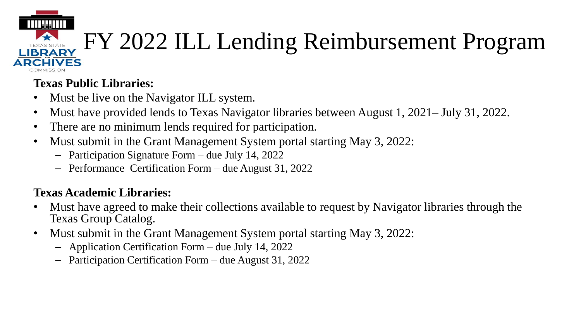### TTTT:I:ITTTT FY 2022 ILL Lending Reimbursement Program VFS

#### **Texas Public Libraries:**

- Must be live on the Navigator ILL system.
- Must have provided lends to Texas Navigator libraries between August 1, 2021– July 31, 2022.
- There are no minimum lends required for participation.
- Must submit in the Grant Management System portal starting May 3, 2022:
	- Participation Signature Form due July 14, 2022
	- Performance Certification Form due August 31, 2022

#### **Texas Academic Libraries:**

- Must have agreed to make their collections available to request by Navigator libraries through the Texas Group Catalog.
- Must submit in the Grant Management System portal starting May 3, 2022:
	- Application Certification Form due July 14, 2022
	- Participation Certification Form due August 31, 2022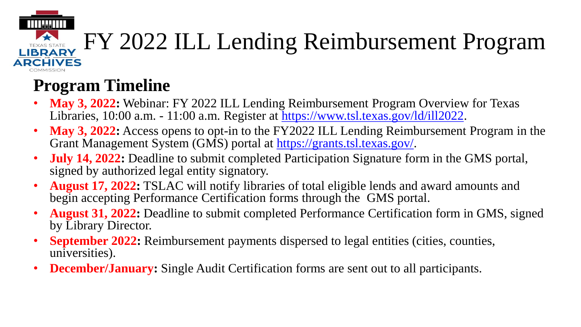#### FY 2022 ILL Lending Reimbursement Program TEXAS STATE **ADCHIVES**

### **Program Timeline**

- **May 3, 2022:** Webinar: FY 2022 ILL Lending Reimbursement Program Overview for Texas Libraries, 10:00 a.m. - 11:00 a.m. Register at<https://www.tsl.texas.gov/ld/ill2022>.
- **May 3, 2022:** Access opens to opt-in to the FY2022 ILL Lending Reimbursement Program in the Grant Management System (GMS) portal at [https://grants.tsl.texas.gov/.](https://grants.tsl.texas.gov/)
- **July 14, 2022:** Deadline to submit completed Participation Signature form in the GMS portal, signed by authorized legal entity signatory.
- **August 17, 2022:** TSLAC will notify libraries of total eligible lends and award amounts and begin accepting Performance Certification forms through the GMS portal.
- **August 31, 2022:** Deadline to submit completed Performance Certification form in GMS, signed by Library Director.
- **September 2022:** Reimbursement payments dispersed to legal entities (cities, counties, universities).
- **December/January:** Single Audit Certification forms are sent out to all participants.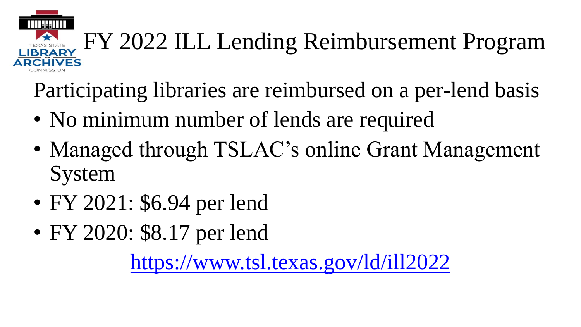

Participating libraries are reimbursed on a per-lend basis

- No minimum number of lends are required
- Managed through TSLAC's online Grant Management System
- FY 2021: \$6.94 per lend
- FY 2020: \$8.17 per lend

<https://www.tsl.texas.gov/ld/ill2022>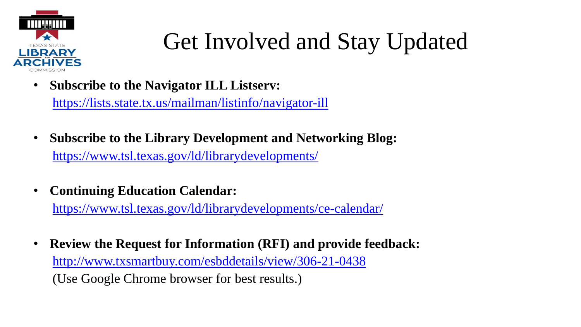

### Get Involved and Stay Updated

• **Subscribe to the Navigator ILL Listserv:**

<https://lists.state.tx.us/mailman/listinfo/navigator-ill>

- **Subscribe to the Library Development and Networking Blog:** <https://www.tsl.texas.gov/ld/librarydevelopments/>
- **Continuing Education Calendar:**

<https://www.tsl.texas.gov/ld/librarydevelopments/ce-calendar/>

• **Review the Request for Information (RFI) and provide feedback:** <http://www.txsmartbuy.com/esbddetails/view/306-21-0438> (Use Google Chrome browser for best results.)